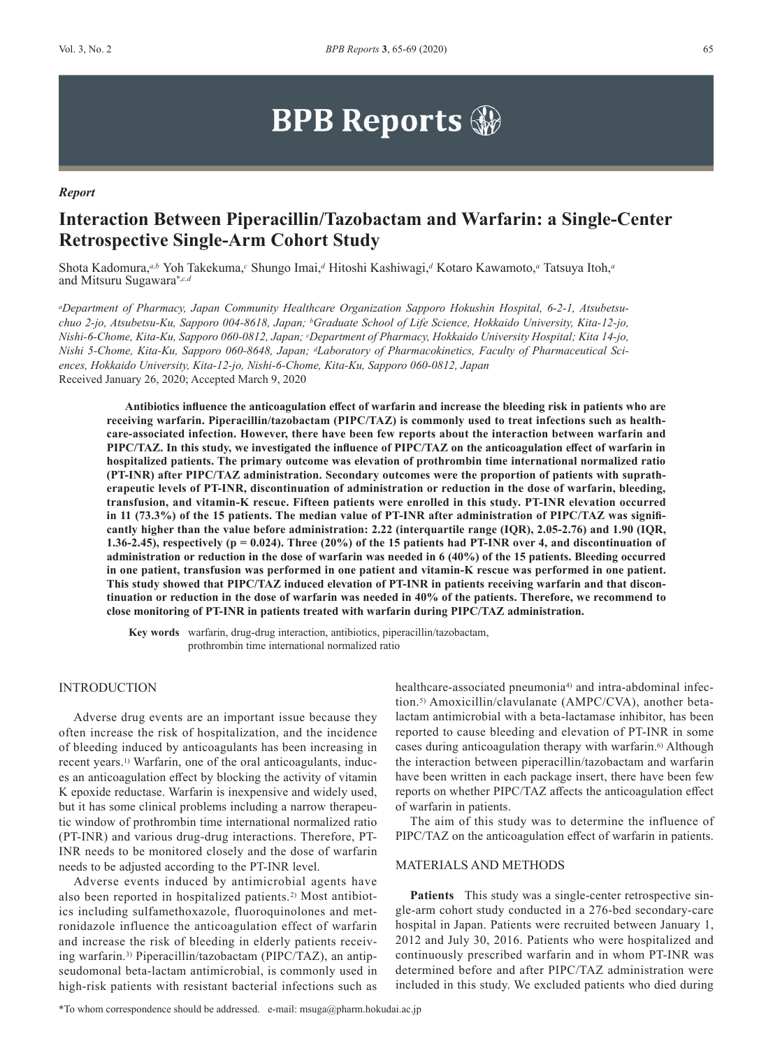# **BPB Reports**

#### *Report*

# **Interaction Between Piperacillin/Tazobactam and Warfarin: a Single-Center Retrospective Single-Arm Cohort Study**

Shota Kadomura,*a,b* Yoh Takekuma,*c* Shungo Imai,*d* Hitoshi Kashiwagi,*d* Kotaro Kawamoto,*a* Tatsuya Itoh,*<sup>a</sup>* and Mitsuru Sugawara\*,*c,d* 

*aDepartment of Pharmacy, Japan Community Healthcare Organization Sapporo Hokushin Hospital, 6-2-1, Atsubetsuchuo 2-jo, Atsubetsu-Ku, Sapporo 004-8618, Japan; bGraduate School of Life Science, Hokkaido University, Kita-12-jo, Nishi-6-Chome, Kita-Ku, Sapporo 060-0812, Japan; cDepartment of Pharmacy, Hokkaido University Hospital; Kita 14-jo, Nishi 5-Chome, Kita-Ku, Sapporo 060-8648, Japan; dLaboratory of Pharmacokinetics, Faculty of Pharmaceutical Sciences, Hokkaido University, Kita-12-jo, Nishi-6-Chome, Kita-Ku, Sapporo 060-0812, Japan* Received January 26, 2020; Accepted March 9, 2020

**Antibiotics influence the anticoagulation effect of warfarin and increase the bleeding risk in patients who are receiving warfarin. Piperacillin/tazobactam (PIPC/TAZ) is commonly used to treat infections such as healthcare-associated infection. However, there have been few reports about the interaction between warfarin and PIPC/TAZ. In this study, we investigated the influence of PIPC/TAZ on the anticoagulation effect of warfarin in hospitalized patients. The primary outcome was elevation of prothrombin time international normalized ratio (PT-INR) after PIPC/TAZ administration. Secondary outcomes were the proportion of patients with supratherapeutic levels of PT-INR, discontinuation of administration or reduction in the dose of warfarin, bleeding, transfusion, and vitamin-K rescue. Fifteen patients were enrolled in this study. PT-INR elevation occurred in 11 (73.3%) of the 15 patients. The median value of PT-INR after administration of PIPC/TAZ was significantly higher than the value before administration: 2.22 (interquartile range (IQR), 2.05-2.76) and 1.90 (IQR, 1.36-2.45), respectively (p = 0.024). Three (20%) of the 15 patients had PT-INR over 4, and discontinuation of administration or reduction in the dose of warfarin was needed in 6 (40%) of the 15 patients. Bleeding occurred in one patient, transfusion was performed in one patient and vitamin-K rescue was performed in one patient. This study showed that PIPC/TAZ induced elevation of PT-INR in patients receiving warfarin and that discontinuation or reduction in the dose of warfarin was needed in 40% of the patients. Therefore, we recommend to close monitoring of PT-INR in patients treated with warfarin during PIPC/TAZ administration.**

**Key words** warfarin, drug-drug interaction, antibiotics, piperacillin/tazobactam, prothrombin time international normalized ratio

# INTRODUCTION

Adverse drug events are an important issue because they often increase the risk of hospitalization, and the incidence of bleeding induced by anticoagulants has been increasing in recent years.<sup>1)</sup> Warfarin, one of the oral anticoagulants, induces an anticoagulation effect by blocking the activity of vitamin K epoxide reductase. Warfarin is inexpensive and widely used, but it has some clinical problems including a narrow therapeutic window of prothrombin time international normalized ratio (PT-INR) and various drug-drug interactions. Therefore, PT-INR needs to be monitored closely and the dose of warfarin needs to be adjusted according to the PT-INR level.

Adverse events induced by antimicrobial agents have also been reported in hospitalized patients.<sup>2)</sup> Most antibiotics including sulfamethoxazole, fluoroquinolones and metronidazole influence the anticoagulation effect of warfarin and increase the risk of bleeding in elderly patients receiving warfarin.3) Piperacillin/tazobactam (PIPC/TAZ), an antipseudomonal beta-lactam antimicrobial, is commonly used in high-risk patients with resistant bacterial infections such as

healthcare-associated pneumonia<sup>4)</sup> and intra-abdominal infection.5) Amoxicillin/clavulanate (AMPC/CVA), another betalactam antimicrobial with a beta-lactamase inhibitor, has been reported to cause bleeding and elevation of PT-INR in some cases during anticoagulation therapy with warfarin.<sup>6)</sup> Although the interaction between piperacillin/tazobactam and warfarin have been written in each package insert, there have been few reports on whether PIPC/TAZ affects the anticoagulation effect of warfarin in patients.

The aim of this study was to determine the influence of PIPC/TAZ on the anticoagulation effect of warfarin in patients.

# MATERIALS AND METHODS

**Patients** This study was a single-center retrospective single-arm cohort study conducted in a 276-bed secondary-care hospital in Japan. Patients were recruited between January 1, 2012 and July 30, 2016. Patients who were hospitalized and continuously prescribed warfarin and in whom PT-INR was determined before and after PIPC/TAZ administration were included in this study. We excluded patients who died during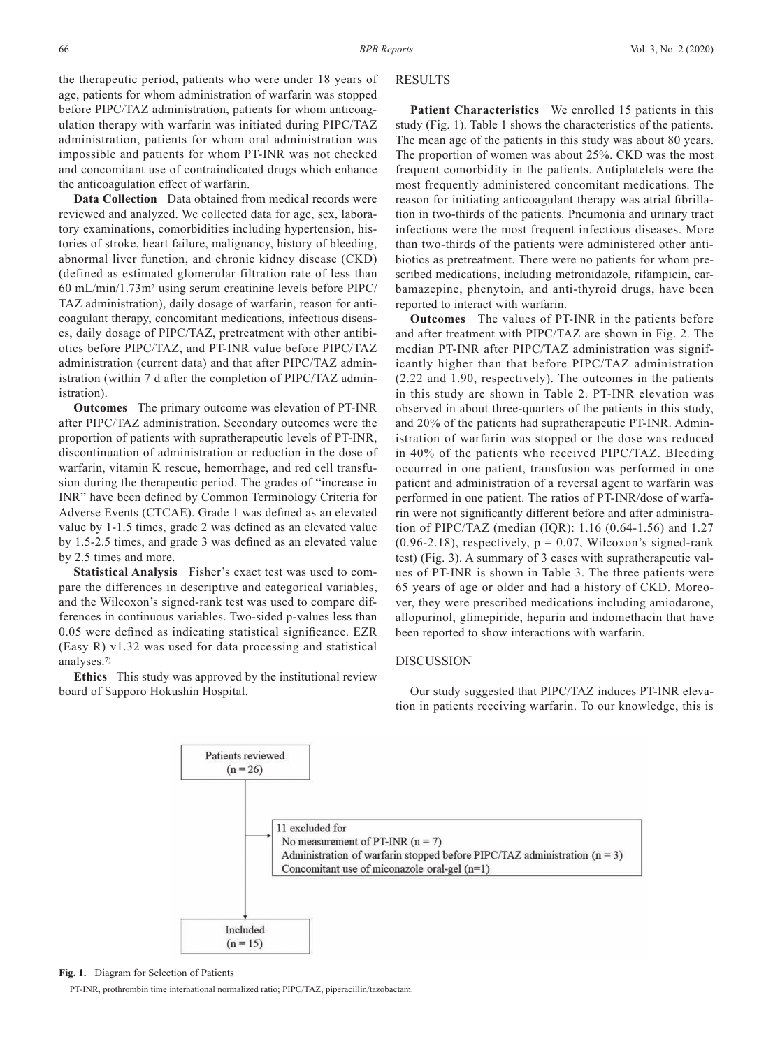the therapeutic period, patients who were under 18 years of age, patients for whom administration of warfarin was stopped before PIPC/TAZ administration, patients for whom anticoagulation therapy with warfarin was initiated during PIPC/TAZ administration, patients for whom oral administration was impossible and patients for whom PT-INR was not checked and concomitant use of contraindicated drugs which enhance the anticoagulation effect of warfarin.

**Data Collection** Data obtained from medical records were reviewed and analyzed. We collected data for age, sex, laboratory examinations, comorbidities including hypertension, histories of stroke, heart failure, malignancy, history of bleeding, abnormal liver function, and chronic kidney disease (CKD) (defined as estimated glomerular filtration rate of less than 60 mL/min/1.73m2 using serum creatinine levels before PIPC/ TAZ administration), daily dosage of warfarin, reason for anticoagulant therapy, concomitant medications, infectious diseases, daily dosage of PIPC/TAZ, pretreatment with other antibiotics before PIPC/TAZ, and PT-INR value before PIPC/TAZ administration (current data) and that after PIPC/TAZ administration (within 7 d after the completion of PIPC/TAZ administration).

**Outcomes** The primary outcome was elevation of PT-INR after PIPC/TAZ administration. Secondary outcomes were the proportion of patients with supratherapeutic levels of PT-INR, discontinuation of administration or reduction in the dose of warfarin, vitamin K rescue, hemorrhage, and red cell transfusion during the therapeutic period. The grades of "increase in INR" have been defined by Common Terminology Criteria for Adverse Events (CTCAE). Grade 1 was defined as an elevated value by 1-1.5 times, grade 2 was defined as an elevated value by 1.5-2.5 times, and grade 3 was defined as an elevated value by 2.5 times and more.

**Statistical Analysis** Fisher's exact test was used to compare the differences in descriptive and categorical variables, and the Wilcoxon's signed-rank test was used to compare differences in continuous variables. Two-sided p-values less than 0.05 were defined as indicating statistical significance. EZR (Easy R) v1.32 was used for data processing and statistical analyses.7)

**Ethics** This study was approved by the institutional review board of Sapporo Hokushin Hospital.

### RESULTS

Patient Characteristics We enrolled 15 patients in this study (Fig. 1). Table 1 shows the characteristics of the patients. The mean age of the patients in this study was about 80 years. The proportion of women was about 25%. CKD was the most frequent comorbidity in the patients. Antiplatelets were the most frequently administered concomitant medications. The reason for initiating anticoagulant therapy was atrial fibrillation in two-thirds of the patients. Pneumonia and urinary tract infections were the most frequent infectious diseases. More than two-thirds of the patients were administered other antibiotics as pretreatment. There were no patients for whom prescribed medications, including metronidazole, rifampicin, carbamazepine, phenytoin, and anti-thyroid drugs, have been reported to interact with warfarin.

**Outcomes** The values of PT-INR in the patients before and after treatment with PIPC/TAZ are shown in Fig. 2. The median PT-INR after PIPC/TAZ administration was significantly higher than that before PIPC/TAZ administration (2.22 and 1.90, respectively). The outcomes in the patients in this study are shown in Table 2. PT-INR elevation was observed in about three-quarters of the patients in this study, and 20% of the patients had supratherapeutic PT-INR. Administration of warfarin was stopped or the dose was reduced in 40% of the patients who received PIPC/TAZ. Bleeding occurred in one patient, transfusion was performed in one patient and administration of a reversal agent to warfarin was performed in one patient. The ratios of PT-INR/dose of warfarin were not significantly different before and after administration of PIPC/TAZ (median (IQR): 1.16 (0.64-1.56) and 1.27  $(0.96-2.18)$ , respectively,  $p = 0.07$ , Wilcoxon's signed-rank test) (Fig. 3). A summary of 3 cases with supratherapeutic values of PT-INR is shown in Table 3. The three patients were 65 years of age or older and had a history of CKD. Moreover, they were prescribed medications including amiodarone, allopurinol, glimepiride, heparin and indomethacin that have been reported to show interactions with warfarin.

#### DISCUSSION

Our study suggested that PIPC/TAZ induces PT-INR elevation in patients receiving warfarin. To our knowledge, this is



#### **Fig. 1.** Diagram for Selection of Patients

PT-INR, prothrombin time international normalized ratio; PIPC/TAZ, piperacillin/tazobactam.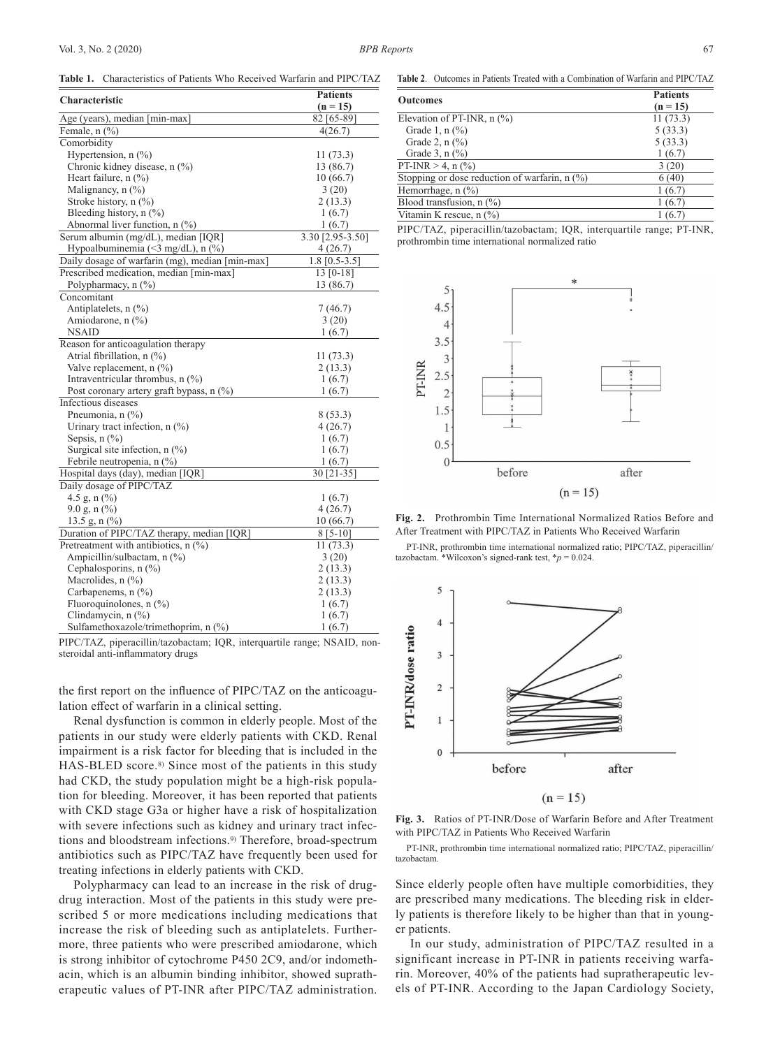**Table 1.** Characteristics of Patients Who Received Warfarin and PIPC/TAZ

|                                                 | <b>Patients</b>  |  |
|-------------------------------------------------|------------------|--|
| <b>Characteristic</b>                           | $(n = 15)$       |  |
| Age (years), median [min-max]                   | 82 [65-89]       |  |
| Female, $n$ $(\%)$                              | 4(26.7)          |  |
| Comorbidity                                     |                  |  |
| Hypertension, $n$ (%)                           | 11(73.3)         |  |
| Chronic kidney disease, n (%)                   | 13 (86.7)        |  |
| Heart failure, $n$ (%)                          | 10(66.7)         |  |
| Malignancy, $n$ $(\%)$                          | 3(20)            |  |
| Stroke history, $n$ (%)                         | 2(13.3)          |  |
| Bleeding history, $n$ (%)                       | 1(6.7)           |  |
| Abnormal liver function, n (%)                  | 1(6.7)           |  |
| Serum albumin (mg/dL), median [IQR]             | 3.30 [2.95-3.50] |  |
| Hypoalbuminemia (<3 mg/dL), n $(\%)$            | 4(26.7)          |  |
| Daily dosage of warfarin (mg), median [min-max] | $1.8$ [0.5-3.5]  |  |
| Prescribed medication, median [min-max]         | $13 [0-18]$      |  |
| Polypharmacy, n (%)                             | 13 (86.7)        |  |
| Concomitant                                     |                  |  |
| Antiplatelets, $n$ $(\%)$                       | 7(46.7)          |  |
| Amiodarone, n (%)                               | 3(20)            |  |
| <b>NSAID</b>                                    | 1(6.7)           |  |
| Reason for anticoagulation therapy              |                  |  |
| Atrial fibrillation, n (%)                      | 11(73.3)         |  |
| Valve replacement, $n$ $(\%)$                   | 2(13.3)          |  |
| Intraventricular thrombus, $n$ (%)              | 1(6.7)           |  |
| Post coronary artery graft bypass, $n$ (%)      | 1(6.7)           |  |
| Infectious diseases                             |                  |  |
| Pneumonia, n (%)                                | 8(53.3)          |  |
| Urinary tract infection, $n$ (%)                | 4(26.7)          |  |
| Sepsis, $n$ $(\%)$                              | 1(6.7)           |  |
| Surgical site infection, $n$ (%)                | 1(6.7)           |  |
| Febrile neutropenia, n (%)                      | 1(6.7)           |  |
| Hospital days (day), median [IQR]               | 30 [21-35]       |  |
| Daily dosage of PIPC/TAZ                        |                  |  |
| 4.5 g, $n$ (%)                                  | 1(6.7)           |  |
| $9.0$ g, n $\left(\frac{9}{0}\right)$           | 4(26.7)          |  |
| 13.5 g, n $(\%$ )                               | 10(66.7)         |  |
| Duration of PIPC/TAZ therapy, median [IQR]      | $8 [5 - 10]$     |  |
| Pretreatment with antibiotics, $n$ (%)          | 11(73.3)         |  |
| Ampicillin/sulbactam, n (%)                     | 3(20)            |  |
| Cephalosporins, n (%)                           | 2(13.3)          |  |
| Macrolides, $n$ $(\%)$                          | 2(13.3)          |  |
| Carbapenems, $n$ $(\%)$                         | 2(13.3)          |  |
| Fluoroquinolones, $n$ (%)                       | 1(6.7)           |  |
| Clindamycin, $n$ $(\%)$                         | 1(6.7)           |  |
| Sulfamethoxazole/trimethoprim, n (%)            | 1(6.7)           |  |

PIPC/TAZ, piperacillin/tazobactam; IQR, interquartile range; NSAID, nonsteroidal anti-inflammatory drugs

the first report on the influence of PIPC/TAZ on the anticoagulation effect of warfarin in a clinical setting.

Renal dysfunction is common in elderly people. Most of the patients in our study were elderly patients with CKD. Renal impairment is a risk factor for bleeding that is included in the HAS-BLED score.<sup>8)</sup> Since most of the patients in this study had CKD, the study population might be a high-risk population for bleeding. Moreover, it has been reported that patients with CKD stage G3a or higher have a risk of hospitalization with severe infections such as kidney and urinary tract infections and bloodstream infections.9) Therefore, broad-spectrum antibiotics such as PIPC/TAZ have frequently been used for treating infections in elderly patients with CKD.

Polypharmacy can lead to an increase in the risk of drugdrug interaction. Most of the patients in this study were prescribed 5 or more medications including medications that increase the risk of bleeding such as antiplatelets. Furthermore, three patients who were prescribed amiodarone, which is strong inhibitor of cytochrome P450 2C9, and/or indomethacin, which is an albumin binding inhibitor, showed supratherapeutic values of PT-INR after PIPC/TAZ administration.

**Table 2**.Outcomes in Patients Treated with a Combination of Warfarin and PIPC/TAZ

| <b>Outcomes</b>                                     | <b>Patients</b> |  |
|-----------------------------------------------------|-----------------|--|
|                                                     | $(n = 15)$      |  |
| Elevation of PT-INR, $n$ $\left(\frac{9}{6}\right)$ | 11(73.3)        |  |
| Grade 1, $n$ (%)                                    | 5(33.3)         |  |
| Grade 2, $n$ $(\%)$                                 | 5(33.3)         |  |
| Grade 3, $n$ $\frac{9}{6}$                          | 1(6.7)          |  |
| PT-INR $> 4$ , n $\left(\frac{9}{6}\right)$         | 3(20)           |  |
| Stopping or dose reduction of warfarin, $n$ (%)     | 6(40)           |  |
| Hemorrhage, n (%)                                   | 1(6.7)          |  |
| Blood transfusion, $n$ $(\%)$                       | 1(6.7)          |  |
| Vitamin K rescue, $n$ $\frac{6}{6}$                 | 1(6.7)          |  |
|                                                     |                 |  |

PIPC/TAZ, piperacillin/tazobactam; IQR, interquartile range; PT-INR, prothrombin time international normalized ratio



**Fig. 2.** Prothrombin Time International Normalized Ratios Before and After Treatment with PIPC/TAZ in Patients Who Received Warfarin

PT-INR, prothrombin time international normalized ratio; PIPC/TAZ, piperacillin/ tazobactam. \*Wilcoxon's signed-rank test,  $p = 0.024$ .



**Fig. 3.** Ratios of PT-INR/Dose of Warfarin Before and After Treatment with PIPC/TAZ in Patients Who Received Warfarin

PT-INR, prothrombin time international normalized ratio; PIPC/TAZ, piperacillin/ tazobactam.

Since elderly people often have multiple comorbidities, they are prescribed many medications. The bleeding risk in elderly patients is therefore likely to be higher than that in younger patients.

In our study, administration of PIPC/TAZ resulted in a significant increase in PT-INR in patients receiving warfarin. Moreover, 40% of the patients had supratherapeutic levels of PT-INR. According to the Japan Cardiology Society,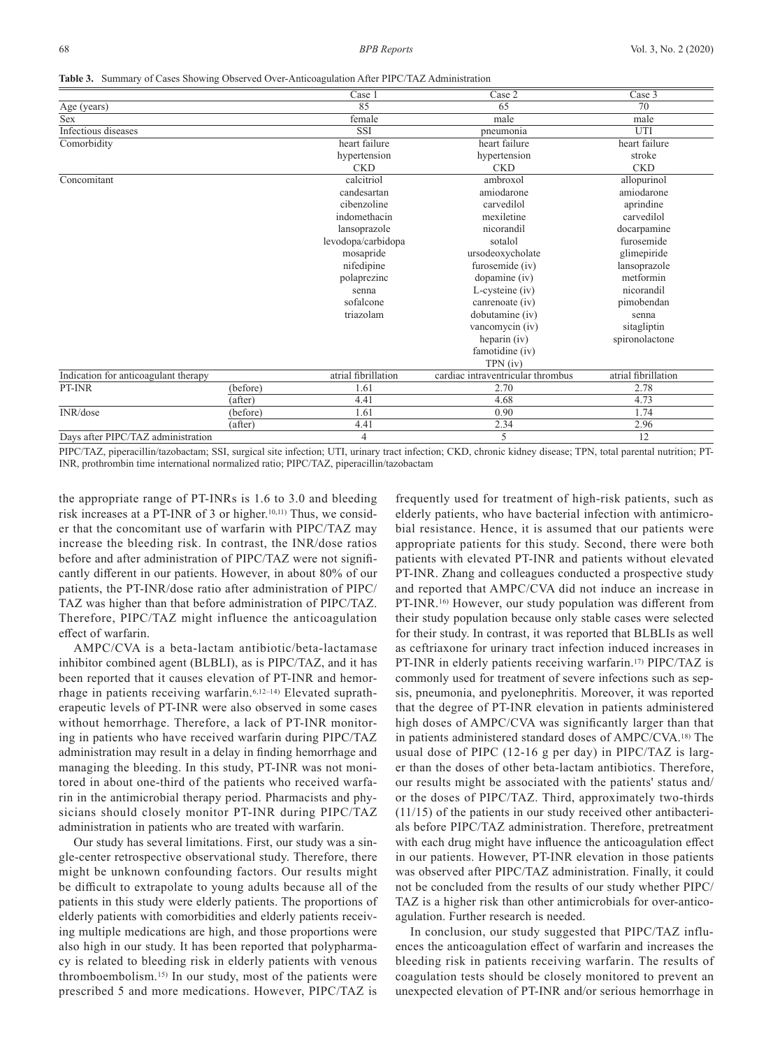|  |  |  |  | <b>Table 3.</b> Summary of Cases Showing Observed Over-Anticoagulation After PIPC/TAZ Administration |
|--|--|--|--|------------------------------------------------------------------------------------------------------|
|--|--|--|--|------------------------------------------------------------------------------------------------------|

|                                      |          | Case 1              | Case $\overline{2}$               | Case 3              |
|--------------------------------------|----------|---------------------|-----------------------------------|---------------------|
| Age (years)                          |          | 85                  | 65                                | 70                  |
| Sex                                  |          | female              | male                              | male                |
| Infectious diseases                  |          | <b>SSI</b>          | pneumonia                         | UTI                 |
| Comorbidity                          |          | heart failure       | heart failure                     | heart failure       |
|                                      |          | hypertension        | hypertension                      | stroke              |
|                                      |          | <b>CKD</b>          | <b>CKD</b>                        | <b>CKD</b>          |
| Concomitant                          |          | calcitriol          | ambroxol                          | allopurinol         |
|                                      |          | candesartan         | amiodarone                        | amiodarone          |
|                                      |          | cibenzoline         | carvedilol                        | aprindine           |
|                                      |          | indomethacin        | mexiletine                        | carvedilol          |
|                                      |          | lansoprazole        | nicorandil                        | docarpamine         |
|                                      |          | levodopa/carbidopa  | sotalol                           | furosemide          |
|                                      |          | mosapride           | ursodeoxycholate                  | glimepiride         |
|                                      |          | nifedipine          | furosemide (iv)                   | lansoprazole        |
|                                      |          | polaprezinc         | dopamine (iv)                     | metformin           |
|                                      |          | senna               | L-cysteine (iv)                   | nicorandil          |
|                                      |          | sofalcone           | canrenoate (iv)                   | pimobendan          |
|                                      |          | triazolam           | dobutamine (iv)                   | senna               |
|                                      |          |                     | vancomycin (iv)                   | sitagliptin         |
|                                      |          |                     | heparin (iv)                      | spironolactone      |
|                                      |          |                     | famotidine (iv)                   |                     |
|                                      |          |                     | TPN (iv)                          |                     |
| Indication for anticoagulant therapy |          | atrial fibrillation | cardiac intraventricular thrombus | atrial fibrillation |
| PT-INR                               | (before) | 1.61                | 2.70                              | 2.78                |
|                                      | (after)  | 4.41                | 4.68                              | 4.73                |
| INR/dose                             | (before) | 1.61                | 0.90                              | 1.74                |
|                                      | (after)  | 4.41                | 2.34                              | 2.96                |
| Days after PIPC/TAZ administration   |          | 4                   | 5                                 | 12                  |

PIPC/TAZ, piperacillin/tazobactam; SSI, surgical site infection; UTI, urinary tract infection; CKD, chronic kidney disease; TPN, total parental nutrition; PT-INR, prothrombin time international normalized ratio; PIPC/TAZ, piperacillin/tazobactam

the appropriate range of PT-INRs is 1.6 to 3.0 and bleeding risk increases at a PT-INR of 3 or higher.10,11) Thus, we consider that the concomitant use of warfarin with PIPC/TAZ may increase the bleeding risk. In contrast, the INR/dose ratios before and after administration of PIPC/TAZ were not significantly different in our patients. However, in about 80% of our patients, the PT-INR/dose ratio after administration of PIPC/ TAZ was higher than that before administration of PIPC/TAZ. Therefore, PIPC/TAZ might influence the anticoagulation effect of warfarin.

AMPC/CVA is a beta-lactam antibiotic/beta-lactamase inhibitor combined agent (BLBLI), as is PIPC/TAZ, and it has been reported that it causes elevation of PT-INR and hemorrhage in patients receiving warfarin.6,12–14) Elevated supratherapeutic levels of PT-INR were also observed in some cases without hemorrhage. Therefore, a lack of PT-INR monitoring in patients who have received warfarin during PIPC/TAZ administration may result in a delay in finding hemorrhage and managing the bleeding. In this study, PT-INR was not monitored in about one-third of the patients who received warfarin in the antimicrobial therapy period. Pharmacists and physicians should closely monitor PT-INR during PIPC/TAZ administration in patients who are treated with warfarin.

Our study has several limitations. First, our study was a single-center retrospective observational study. Therefore, there might be unknown confounding factors. Our results might be difficult to extrapolate to young adults because all of the patients in this study were elderly patients. The proportions of elderly patients with comorbidities and elderly patients receiving multiple medications are high, and those proportions were also high in our study. It has been reported that polypharmacy is related to bleeding risk in elderly patients with venous thromboembolism.15) In our study, most of the patients were prescribed 5 and more medications. However, PIPC/TAZ is

frequently used for treatment of high-risk patients, such as elderly patients, who have bacterial infection with antimicrobial resistance. Hence, it is assumed that our patients were appropriate patients for this study. Second, there were both patients with elevated PT-INR and patients without elevated PT-INR. Zhang and colleagues conducted a prospective study and reported that AMPC/CVA did not induce an increase in PT-INR.<sup>16)</sup> However, our study population was different from their study population because only stable cases were selected for their study. In contrast, it was reported that BLBLIs as well as ceftriaxone for urinary tract infection induced increases in PT-INR in elderly patients receiving warfarin.<sup>17)</sup> PIPC/TAZ is commonly used for treatment of severe infections such as sepsis, pneumonia, and pyelonephritis. Moreover, it was reported that the degree of PT-INR elevation in patients administered high doses of AMPC/CVA was significantly larger than that in patients administered standard doses of AMPC/CVA.18) The usual dose of PIPC (12-16 g per day) in PIPC/TAZ is larger than the doses of other beta-lactam antibiotics. Therefore, our results might be associated with the patients' status and/ or the doses of PIPC/TAZ. Third, approximately two-thirds (11/15) of the patients in our study received other antibacterials before PIPC/TAZ administration. Therefore, pretreatment with each drug might have influence the anticoagulation effect in our patients. However, PT-INR elevation in those patients was observed after PIPC/TAZ administration. Finally, it could not be concluded from the results of our study whether PIPC/ TAZ is a higher risk than other antimicrobials for over-anticoagulation. Further research is needed.

In conclusion, our study suggested that PIPC/TAZ influences the anticoagulation effect of warfarin and increases the bleeding risk in patients receiving warfarin. The results of coagulation tests should be closely monitored to prevent an unexpected elevation of PT-INR and/or serious hemorrhage in